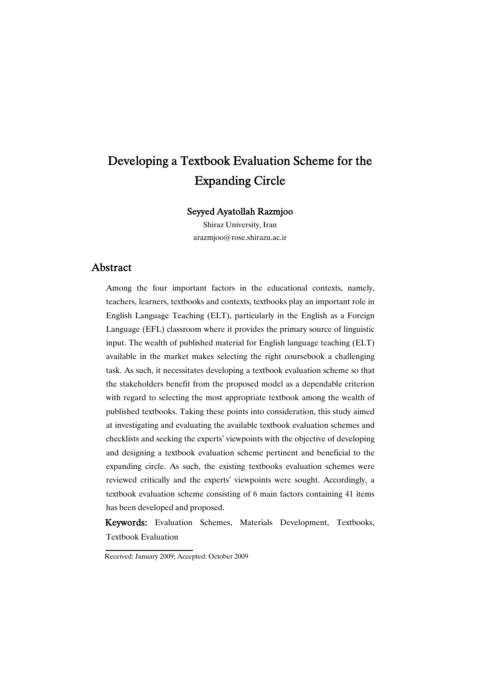# Developing a Textbook Evaluation Scheme for the Expanding Circle

### Seyyed Ayatollah Razmjoo

Shiraz University, Iran arazmjoo@rose.shirazu.ac.ir

### Abstract

Among the four important factors in the educational contexts, namely, teachers, learners, textbooks and contexts, textbooks play an important role in English Language Teaching (ELT), particularly in the English as a Foreign Language (EFL) classroom where it provides the primary source of linguistic input. The wealth of published material for English language teaching (ELT) available in the market makes selecting the right coursebook a challenging task. As such, it necessitates developing a textbook evaluation scheme so that the stakeholders benefit from the proposed model as a dependable criterion with regard to selecting the most appropriate textbook among the wealth of published textbooks. Taking these points into consideration, this study aimed at investigating and evaluating the available textbook evaluation schemes and checklists and seeking the experts' viewpoints with the objective of developing and designing a textbook evaluation scheme pertinent and beneficial to the expanding circle. As such, the existing textbooks evaluation schemes were reviewed critically and the experts' viewpoints were sought. Accordingly, a textbook evaluation scheme consisting of 6 main factors containing 41 items has been developed and proposed.

Keywords: Evaluation Schemes, Materials Development, Textbooks, Textbook Evaluation

Received: January 2009; Accepted: October 2009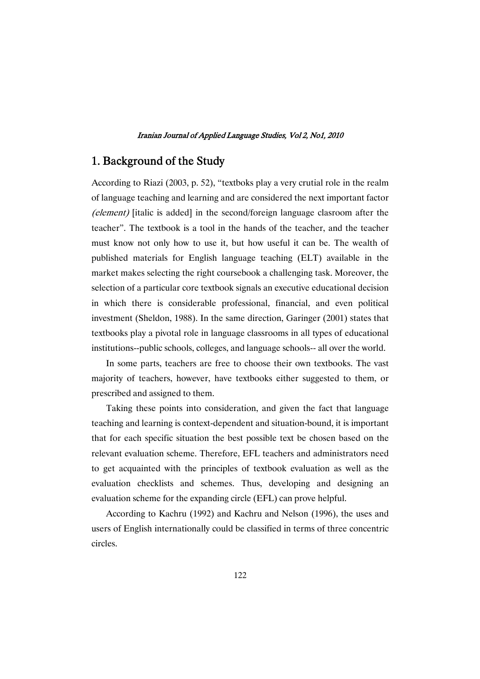# 1. Background of the Study

According to Riazi (2003, p. 52), "textboks play a very crutial role in the realm of language teaching and learning and are considered the next important factor (element) [italic is added] in the second/foreign language clasroom after the teacher". The textbook is a tool in the hands of the teacher, and the teacher must know not only how to use it, but how useful it can be. The wealth of published materials for English language teaching (ELT) available in the market makes selecting the right coursebook a challenging task. Moreover, the selection of a particular core textbook signals an executive educational decision in which there is considerable professional, financial, and even political investment (Sheldon, 1988). In the same direction, Garinger (2001) states that textbooks play a pivotal role in language classrooms in all types of educational institutions--public schools, colleges, and language schools-- all over the world.

In some parts, teachers are free to choose their own textbooks. The vast majority of teachers, however, have textbooks either suggested to them, or prescribed and assigned to them.

Taking these points into consideration, and given the fact that language teaching and learning is context-dependent and situation-bound, it is important that for each specific situation the best possible text be chosen based on the relevant evaluation scheme. Therefore, EFL teachers and administrators need to get acquainted with the principles of textbook evaluation as well as the evaluation checklists and schemes. Thus, developing and designing an evaluation scheme for the expanding circle (EFL) can prove helpful.

According to Kachru (1992) and Kachru and Nelson (1996), the uses and users of English internationally could be classified in terms of three concentric circles.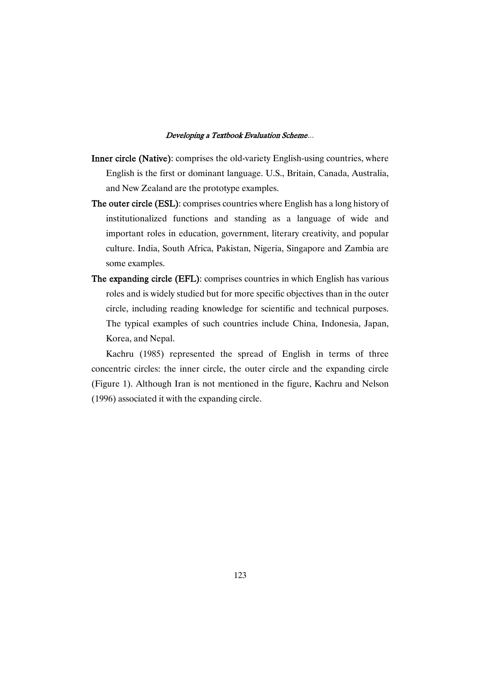- Inner circle (Native): comprises the old-variety English-using countries, where English is the first or dominant language. U.S., Britain, Canada, Australia, and New Zealand are the prototype examples.
- The outer circle (ESL): comprises countries where English has a long history of institutionalized functions and standing as a language of wide and important roles in education, government, literary creativity, and popular culture. India, South Africa, Pakistan, Nigeria, Singapore and Zambia are some examples.
- The expanding circle (EFL): comprises countries in which English has various roles and is widely studied but for more specific objectives than in the outer circle, including reading knowledge for scientific and technical purposes. The typical examples of such countries include China, Indonesia, Japan, Korea, and Nepal.

Kachru (1985) represented the spread of English in terms of three concentric circles: the inner circle, the outer circle and the expanding circle (Figure 1). Although Iran is not mentioned in the figure, Kachru and Nelson (1996) associated it with the expanding circle.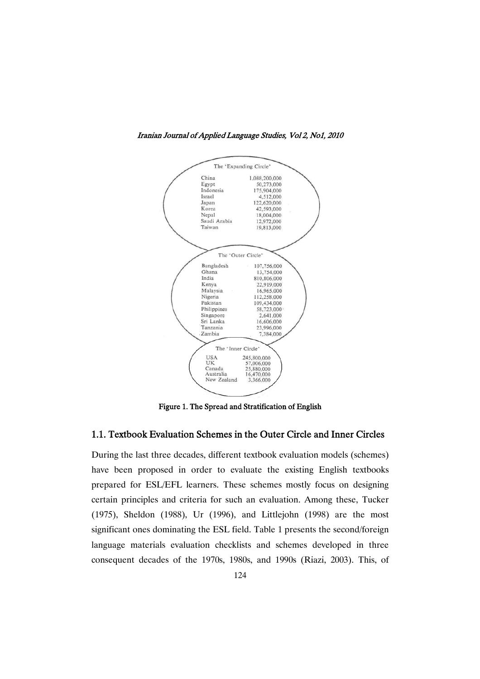

Iranian Journal of Applied Language Studies, Vol 2, No1, 2010

Figure 1. The Spread and Stratification of English

### 1.1. Textbook Evaluation Schemes in the Outer Circle and Inner Circles

During the last three decades, different textbook evaluation models (schemes) have been proposed in order to evaluate the existing English textbooks prepared for ESL/EFL learners. These schemes mostly focus on designing certain principles and criteria for such an evaluation. Among these, Tucker (1975), Sheldon (1988), Ur (1996), and Littlejohn (1998) are the most significant ones dominating the ESL field. Table 1 presents the second/foreign language materials evaluation checklists and schemes developed in three consequent decades of the 1970s, 1980s, and 1990s (Riazi, 2003). This, of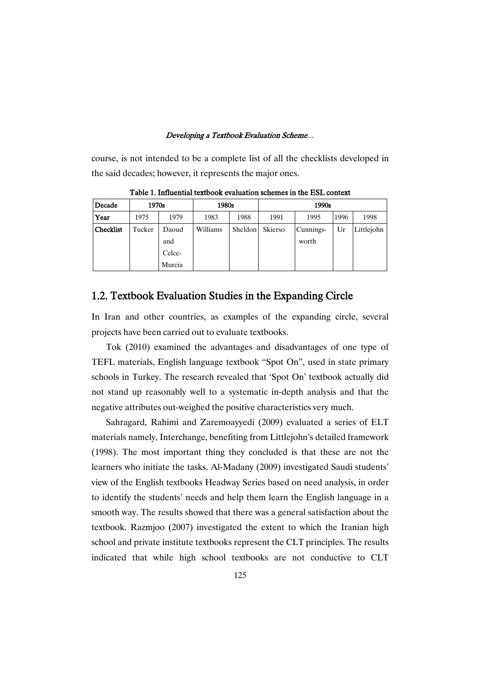course, is not intended to be a complete list of all the checklists developed in the said decades; however, it represents the major ones.

| Decade           | 1970s  |        | 1980s    |         | 1990s   |           |      |            |  |  |
|------------------|--------|--------|----------|---------|---------|-----------|------|------------|--|--|
| Year             | 1975   | 1979   | 1983     | 1988    | 1991    | 1995      | 1996 | 1998       |  |  |
| <b>Checklist</b> | Tucker | Daoud  | Williams | Sheldon | Skierso | Cunnings- | Ur   | Littlejohn |  |  |
|                  |        | and    |          |         |         | worth     |      |            |  |  |
|                  |        | Celce- |          |         |         |           |      |            |  |  |
|                  |        | Murcia |          |         |         |           |      |            |  |  |

Table 1. Influential textbook evaluation schemes in the ESL context

### 1.2. Textbook Evaluation Studies in the Expanding Circle

In Iran and other countries, as examples of the expanding circle, several projects have been carried out to evaluate textbooks.

Tok (2010) examined the advantages and disadvantages of one type of TEFL materials, English language textbook "Spot On", used in state primary schools in Turkey. The research revealed that 'Spot On' textbook actually did not stand up reasonably well to a systematic in-depth analysis and that the negative attributes out-weighed the positive characteristics very much.

Sahragard, Rahimi and Zaremoayyedi (2009) evaluated a series of ELT materials namely, Interchange, benefiting from Littlejohn's detailed framework (1998). The most important thing they concluded is that these are not the learners who initiate the tasks. Al-Madany (2009) investigated Saudi students' view of the English textbooks Headway Series based on need analysis, in order to identify the students' needs and help them learn the English language in a smooth way. The results showed that there was a general satisfaction about the textbook. Razmjoo (2007) investigated the extent to which the Iranian high school and private institute textbooks represent the CLT principles. The results indicated that while high school textbooks are not conductive to CLT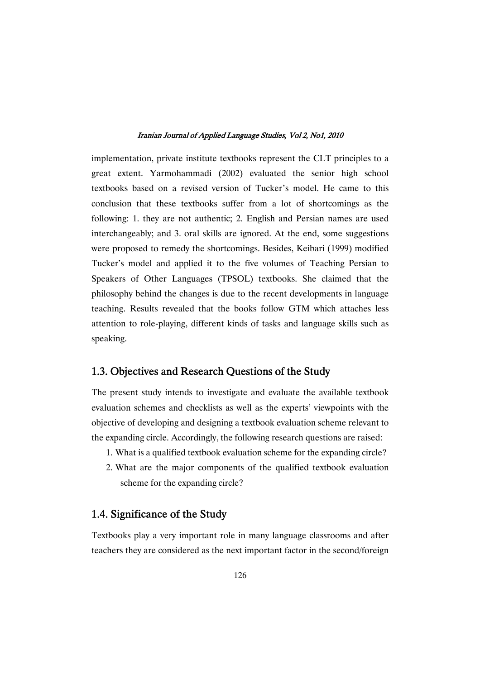implementation, private institute textbooks represent the CLT principles to a great extent. Yarmohammadi (2002) evaluated the senior high school textbooks based on a revised version of Tucker's model. He came to this conclusion that these textbooks suffer from a lot of shortcomings as the following: 1. they are not authentic; 2. English and Persian names are used interchangeably; and 3. oral skills are ignored. At the end, some suggestions were proposed to remedy the shortcomings. Besides, Keibari (1999) modified Tucker's model and applied it to the five volumes of Teaching Persian to Speakers of Other Languages (TPSOL) textbooks. She claimed that the philosophy behind the changes is due to the recent developments in language teaching. Results revealed that the books follow GTM which attaches less attention to role-playing, different kinds of tasks and language skills such as speaking.

### 1.3. Objectives and Research Questions of the Study

The present study intends to investigate and evaluate the available textbook evaluation schemes and checklists as well as the experts' viewpoints with the objective of developing and designing a textbook evaluation scheme relevant to the expanding circle. Accordingly, the following research questions are raised:

- 1. What is a qualified textbook evaluation scheme for the expanding circle?
- 2. What are the major components of the qualified textbook evaluation scheme for the expanding circle?

### 1.4. Significance of the Study

Textbooks play a very important role in many language classrooms and after teachers they are considered as the next important factor in the second/foreign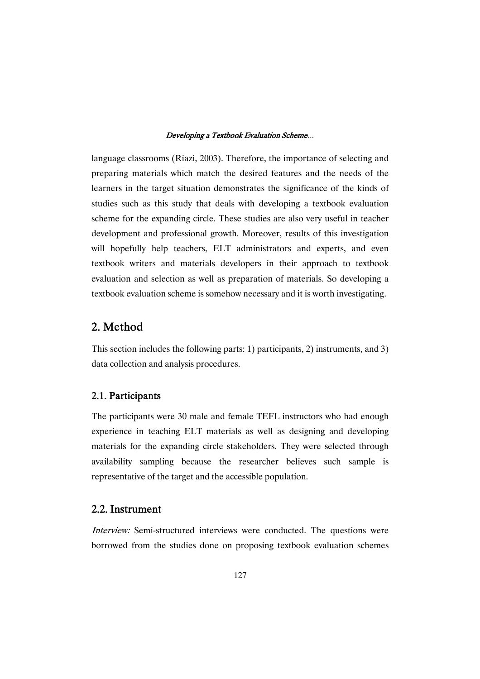language classrooms (Riazi, 2003). Therefore, the importance of selecting and preparing materials which match the desired features and the needs of the learners in the target situation demonstrates the significance of the kinds of studies such as this study that deals with developing a textbook evaluation scheme for the expanding circle. These studies are also very useful in teacher development and professional growth. Moreover, results of this investigation will hopefully help teachers, ELT administrators and experts, and even textbook writers and materials developers in their approach to textbook evaluation and selection as well as preparation of materials. So developing a textbook evaluation scheme is somehow necessary and it is worth investigating.

# 2. Method

This section includes the following parts: 1) participants, 2) instruments, and 3) data collection and analysis procedures.

### 2.1. Participants

The participants were 30 male and female TEFL instructors who had enough experience in teaching ELT materials as well as designing and developing materials for the expanding circle stakeholders. They were selected through availability sampling because the researcher believes such sample is representative of the target and the accessible population.

### 2.2. Instrument

Interview: Semi-structured interviews were conducted. The questions were borrowed from the studies done on proposing textbook evaluation schemes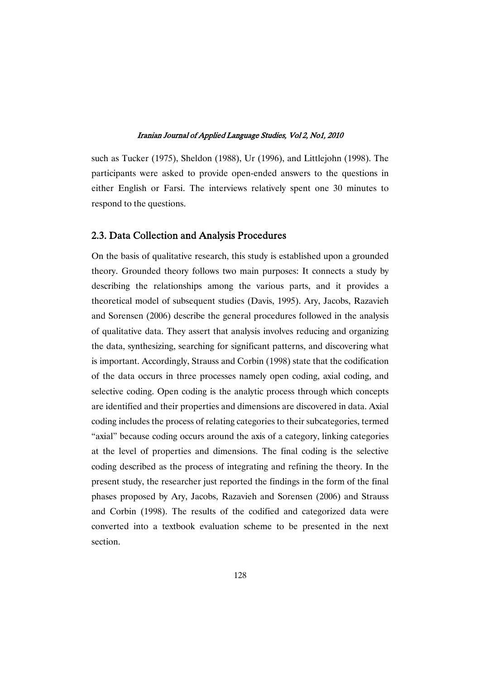such as Tucker (1975), Sheldon (1988), Ur (1996), and Littlejohn (1998). The participants were asked to provide open-ended answers to the questions in either English or Farsi. The interviews relatively spent one 30 minutes to respond to the questions.

### 2.3. Data Collection and Analysis Procedures

On the basis of qualitative research, this study is established upon a grounded theory. Grounded theory follows two main purposes: It connects a study by describing the relationships among the various parts, and it provides a theoretical model of subsequent studies (Davis, 1995). Ary, Jacobs, Razavieh and Sorensen (2006) describe the general procedures followed in the analysis of qualitative data. They assert that analysis involves reducing and organizing the data, synthesizing, searching for significant patterns, and discovering what is important. Accordingly, Strauss and Corbin (1998) state that the codification of the data occurs in three processes namely open coding, axial coding, and selective coding. Open coding is the analytic process through which concepts are identified and their properties and dimensions are discovered in data. Axial coding includes the process of relating categories to their subcategories, termed "axial" because coding occurs around the axis of a category, linking categories at the level of properties and dimensions. The final coding is the selective coding described as the process of integrating and refining the theory. In the present study, the researcher just reported the findings in the form of the final phases proposed by Ary, Jacobs, Razavieh and Sorensen (2006) and Strauss and Corbin (1998). The results of the codified and categorized data were converted into a textbook evaluation scheme to be presented in the next section.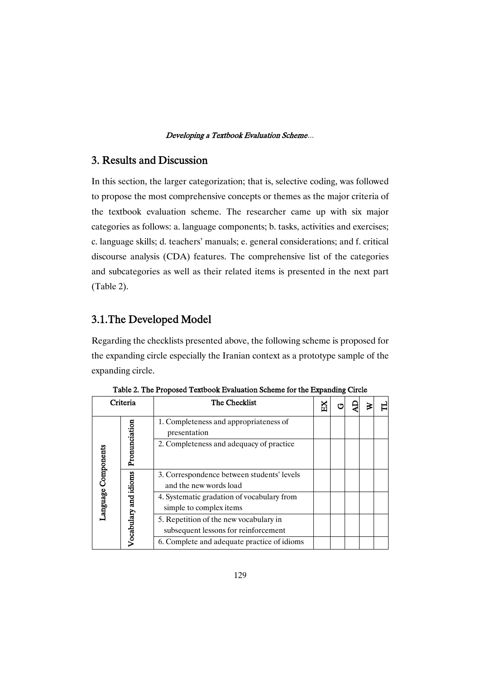### 3. Results and Discussion

In this section, the larger categorization; that is, selective coding, was followed to propose the most comprehensive concepts or themes as the major criteria of the textbook evaluation scheme. The researcher came up with six major categories as follows: a. language components; b. tasks, activities and exercises; c. language skills; d. teachers' manuals; e. general considerations; and f. critical discourse analysis (CDA) features. The comprehensive list of the categories and subcategories as well as their related items is presented in the next part (Table 2).

### 3.1.The Developed Model

Regarding the checklists presented above, the following scheme is proposed for the expanding circle especially the Iranian context as a prototype sample of the expanding circle.

| Criteria            |                       | The Checklist                                                                  |  |  |  |
|---------------------|-----------------------|--------------------------------------------------------------------------------|--|--|--|
| Language Components | Pronunciation         | 1. Completeness and appropriateness of<br>presentation                         |  |  |  |
|                     |                       | 2. Completeness and adequacy of practice                                       |  |  |  |
|                     | Vocabulary and idioms | 3. Correspondence between students' levels<br>and the new words load           |  |  |  |
|                     |                       | 4. Systematic gradation of vocabulary from<br>simple to complex items          |  |  |  |
|                     |                       | 5. Repetition of the new vocabulary in<br>subsequent lessons for reinforcement |  |  |  |
|                     |                       | 6. Complete and adequate practice of idioms                                    |  |  |  |

Table 2. The Proposed Textbook Evaluation Scheme for the Expanding Circle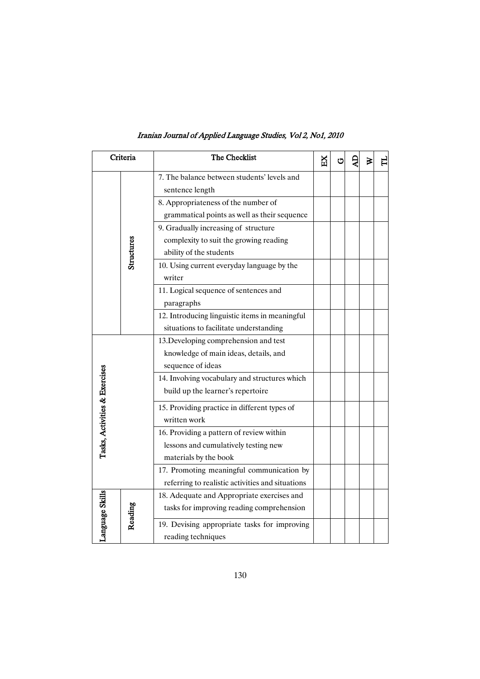| Iranian Journal of Applied Language Studies, Vol 2, No1, 2010 |  |  |  |
|---------------------------------------------------------------|--|--|--|
|---------------------------------------------------------------|--|--|--|

| Criteria                      |            | The Checklist                                    | Ř | Ċ | ⋧ | ᆸ |
|-------------------------------|------------|--------------------------------------------------|---|---|---|---|
|                               |            | 7. The balance between students' levels and      |   |   |   |   |
|                               |            | sentence length                                  |   |   |   |   |
|                               |            | 8. Appropriateness of the number of              |   |   |   |   |
|                               |            | grammatical points as well as their sequence     |   |   |   |   |
|                               |            | 9. Gradually increasing of structure             |   |   |   |   |
|                               |            | complexity to suit the growing reading           |   |   |   |   |
|                               | Structures | ability of the students                          |   |   |   |   |
|                               |            | 10. Using current everyday language by the       |   |   |   |   |
|                               |            | writer                                           |   |   |   |   |
|                               |            | 11. Logical sequence of sentences and            |   |   |   |   |
|                               |            | paragraphs                                       |   |   |   |   |
|                               |            | 12. Introducing linguistic items in meaningful   |   |   |   |   |
|                               |            | situations to facilitate understanding           |   |   |   |   |
|                               |            | 13. Developing comprehension and test            |   |   |   |   |
|                               |            | knowledge of main ideas, details, and            |   |   |   |   |
|                               |            | sequence of ideas                                |   |   |   |   |
|                               |            | 14. Involving vocabulary and structures which    |   |   |   |   |
|                               |            | build up the learner's repertoire                |   |   |   |   |
|                               |            | 15. Providing practice in different types of     |   |   |   |   |
|                               |            | written work                                     |   |   |   |   |
|                               |            | 16. Providing a pattern of review within         |   |   |   |   |
| Tasks, Activities & Exercises |            | lessons and cumulatively testing new             |   |   |   |   |
|                               |            | materials by the book                            |   |   |   |   |
|                               |            | 17. Promoting meaningful communication by        |   |   |   |   |
|                               |            | referring to realistic activities and situations |   |   |   |   |
| Language Skills               |            | 18. Adequate and Appropriate exercises and       |   |   |   |   |
|                               |            | tasks for improving reading comprehension        |   |   |   |   |
|                               | Reading    | 19. Devising appropriate tasks for improving     |   |   |   |   |
|                               |            | reading techniques                               |   |   |   |   |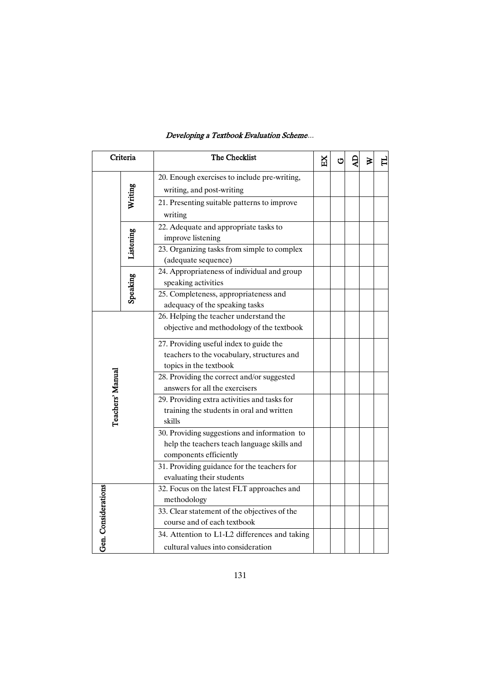| Criteria            |           | The Checklist                                                                                                         | EX | ت | ⋧ |  |
|---------------------|-----------|-----------------------------------------------------------------------------------------------------------------------|----|---|---|--|
|                     | Writing   | 20. Enough exercises to include pre-writing,<br>writing, and post-writing                                             |    |   |   |  |
|                     |           | 21. Presenting suitable patterns to improve<br>writing                                                                |    |   |   |  |
|                     | Listening | 22. Adequate and appropriate tasks to<br>improve listening                                                            |    |   |   |  |
|                     |           | 23. Organizing tasks from simple to complex<br>(adequate sequence)                                                    |    |   |   |  |
|                     | Speaking  | 24. Appropriateness of individual and group<br>speaking activities                                                    |    |   |   |  |
|                     |           | 25. Completeness, appropriateness and<br>adequacy of the speaking tasks                                               |    |   |   |  |
| Teachers' Manual    |           | 26. Helping the teacher understand the<br>objective and methodology of the textbook                                   |    |   |   |  |
|                     |           | 27. Providing useful index to guide the<br>teachers to the vocabulary, structures and<br>topics in the textbook       |    |   |   |  |
|                     |           | 28. Providing the correct and/or suggested<br>answers for all the exercisers                                          |    |   |   |  |
|                     |           | 29. Providing extra activities and tasks for<br>training the students in oral and written<br>skills                   |    |   |   |  |
|                     |           | 30. Providing suggestions and information to<br>help the teachers teach language skills and<br>components efficiently |    |   |   |  |
|                     |           | 31. Providing guidance for the teachers for<br>evaluating their students                                              |    |   |   |  |
| Gen. Considerations |           | 32. Focus on the latest FLT approaches and<br>methodology                                                             |    |   |   |  |
|                     |           | 33. Clear statement of the objectives of the<br>course and of each textbook                                           |    |   |   |  |
|                     |           | 34. Attention to L1-L2 differences and taking<br>cultural values into consideration                                   |    |   |   |  |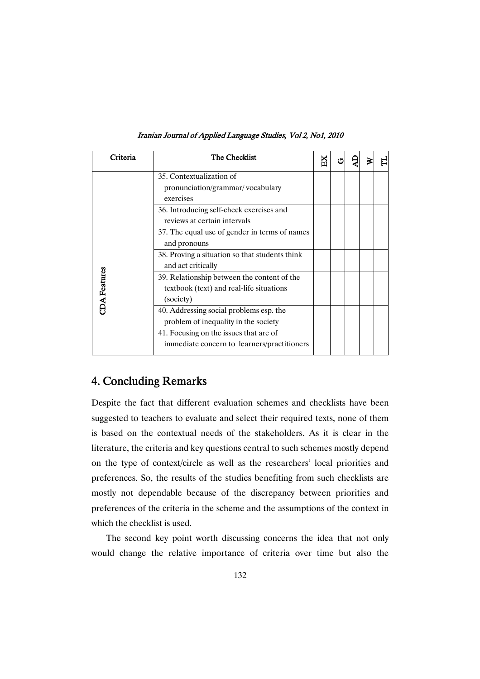| Criteria           | The Checklist                                  | Ď |  |  |
|--------------------|------------------------------------------------|---|--|--|
|                    | 35. Contextualization of                       |   |  |  |
|                    | pronunciation/grammar/vocabulary               |   |  |  |
|                    | exercises                                      |   |  |  |
|                    | 36. Introducing self-check exercises and       |   |  |  |
|                    | reviews at certain intervals                   |   |  |  |
|                    | 37. The equal use of gender in terms of names  |   |  |  |
|                    | and pronouns                                   |   |  |  |
|                    | 38. Proving a situation so that students think |   |  |  |
|                    | and act critically                             |   |  |  |
|                    | 39. Relationship between the content of the    |   |  |  |
|                    | textbook (text) and real-life situations       |   |  |  |
| <b>DA</b> Features | (society)                                      |   |  |  |
|                    | 40. Addressing social problems esp. the        |   |  |  |
|                    | problem of inequality in the society           |   |  |  |
|                    | 41. Focusing on the issues that are of         |   |  |  |
|                    | immediate concern to learners/practitioners    |   |  |  |
|                    |                                                |   |  |  |

Iranian Journal of Applied Language Studies, Vol 2, No1, 2010

# 4. Concluding Remarks

Despite the fact that different evaluation schemes and checklists have been suggested to teachers to evaluate and select their required texts, none of them is based on the contextual needs of the stakeholders. As it is clear in the literature, the criteria and key questions central to such schemes mostly depend on the type of context/circle as well as the researchers' local priorities and preferences. So, the results of the studies benefiting from such checklists are mostly not dependable because of the discrepancy between priorities and preferences of the criteria in the scheme and the assumptions of the context in which the checklist is used.

The second key point worth discussing concerns the idea that not only would change the relative importance of criteria over time but also the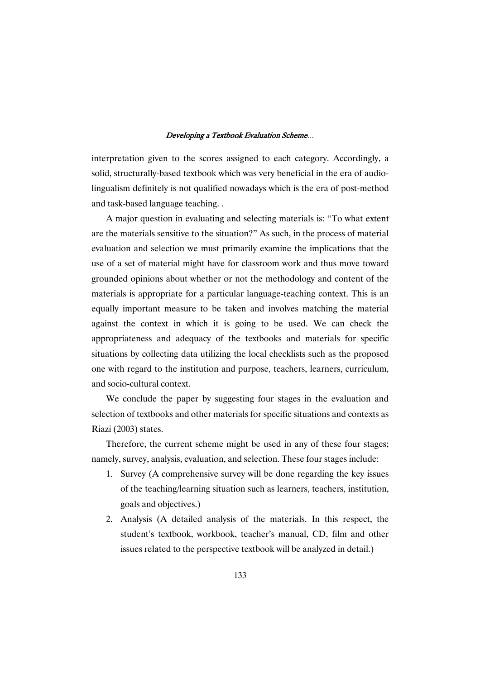interpretation given to the scores assigned to each category. Accordingly, a solid, structurally-based textbook which was very beneficial in the era of audiolingualism definitely is not qualified nowadays which is the era of post-method and task-based language teaching. .

A major question in evaluating and selecting materials is: "To what extent are the materials sensitive to the situation?" As such, in the process of material evaluation and selection we must primarily examine the implications that the use of a set of material might have for classroom work and thus move toward grounded opinions about whether or not the methodology and content of the materials is appropriate for a particular language-teaching context. This is an equally important measure to be taken and involves matching the material against the context in which it is going to be used. We can check the appropriateness and adequacy of the textbooks and materials for specific situations by collecting data utilizing the local checklists such as the proposed one with regard to the institution and purpose, teachers, learners, curriculum, and socio-cultural context.

We conclude the paper by suggesting four stages in the evaluation and selection of textbooks and other materials for specific situations and contexts as Riazi (2003) states.

Therefore, the current scheme might be used in any of these four stages; namely, survey, analysis, evaluation, and selection. These four stages include:

- 1. Survey (A comprehensive survey will be done regarding the key issues of the teaching/learning situation such as learners, teachers, institution, goals and objectives.)
- 2. Analysis (A detailed analysis of the materials. In this respect, the student's textbook, workbook, teacher's manual, CD, film and other issues related to the perspective textbook will be analyzed in detail.)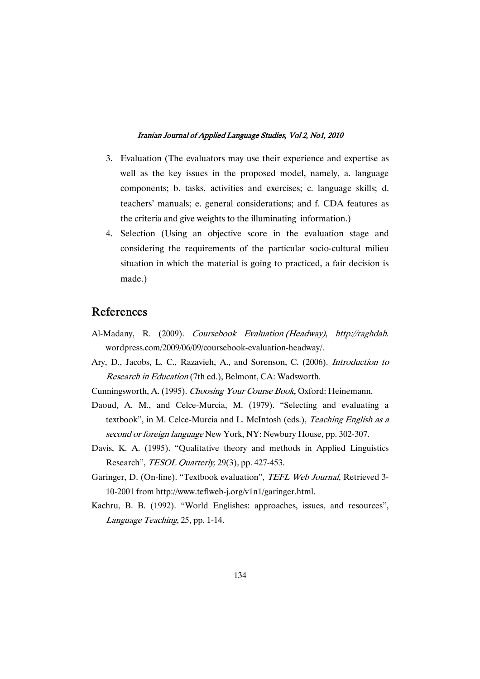- 3. Evaluation (The evaluators may use their experience and expertise as well as the key issues in the proposed model, namely, a. language components; b. tasks, activities and exercises; c. language skills; d. teachers' manuals; e. general considerations; and f. CDA features as the criteria and give weights to the illuminating information.)
- 4. Selection (Using an objective score in the evaluation stage and considering the requirements of the particular socio-cultural milieu situation in which the material is going to practiced, a fair decision is made.)

# References

- Al-Madany, R. (2009). Coursebook Evaluation (Headway), http://raghdah. wordpress.com/2009/06/09/coursebook-evaluation-headway/.
- Ary, D., Jacobs, L. C., Razavieh, A., and Sorenson, C. (2006). Introduction to Research in Education (7th ed.), Belmont, CA: Wadsworth.

Cunningsworth, A. (1995). Choosing Your Course Book, Oxford: Heinemann.

- Daoud, A. M., and Celce-Murcia, M. (1979). "Selecting and evaluating a textbook", in M. Celce-Murcia and L. McIntosh (eds.), Teaching English as a second or foreign language New York, NY: Newbury House, pp. 302-307.
- Davis, K. A. (1995). "Qualitative theory and methods in Applied Linguistics Research", *TESOL Quarterly*, 29(3), pp. 427-453.
- Garinger, D. (On-line). "Textbook evaluation", TEFL Web Journal, Retrieved 3-10-2001 from http://www.teflweb-j.org/v1n1/garinger.html.
- Kachru, B. B. (1992). "World Englishes: approaches, issues, and resources", Language Teaching, 25, pp. 1-14.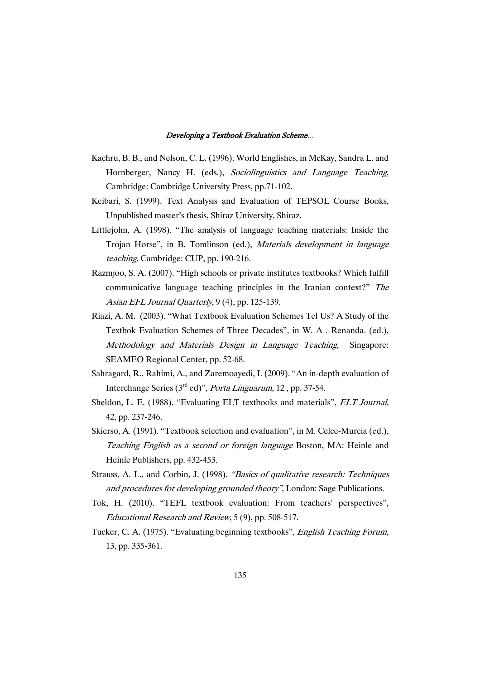- Kachru, B. B., and Nelson, C. L. (1996). World Englishes, in McKay, Sandra L. and Hornberger, Nancy H. (eds.), Sociolinguistics and Language Teaching, Cambridge: Cambridge University Press, pp.71-102.
- Keibari, S. (1999). Text Analysis and Evaluation of TEPSOL Course Books, Unpublished master's thesis, Shiraz University, Shiraz.
- Littlejohn, A. (1998). "The analysis of language teaching materials: Inside the Trojan Horse", in B. Tomlinson (ed.), Materials development in language teaching, Cambridge: CUP, pp. 190-216.
- Razmjoo, S. A. (2007). "High schools or private institutes textbooks? Which fulfill communicative language teaching principles in the Iranian context?" The Asian EFL Journal Quarterly, 9 (4), pp. 125-139.
- Riazi, A. M. (2003). "What Textbook Evaluation Schemes Tel Us? A Study of the Textbok Evaluation Schemes of Three Decades", in W. A . Renanda. (ed.), Methodology and Materials Design in Language Teaching, Singapore: SEAMEO Regional Center, pp. 52-68.
- Sahragard, R., Rahimi, A., and Zaremoayedi, I. (2009). "An in-depth evaluation of Interchange Series (3rd ed)", Porta Linguarum, 12 , pp. 37-54.
- Sheldon, L. E. (1988). "Evaluating ELT textbooks and materials", *ELT Journal*, 42, pp. 237-246.
- Skierso, A. (1991). "Textbook selection and evaluation", in M. Celce-Murcia (ed.), Teaching English as <sup>a</sup> second or foreign language Boston, MA: Heinle and Heinle Publishers, pp. 432-453.
- Strauss, A. L., and Corbin, J. (1998). "Basics of qualitative research: Techniques and procedures for developing grounded theory", London: Sage Publications.
- Tok, H. (2010). "TEFL textbook evaluation: From teachers' perspectives", Educational Research and Review, 5 (9), pp. 508-517.
- Tucker, C. A. (1975). "Evaluating beginning textbooks", English Teaching Forum, 13, pp. 335-361.